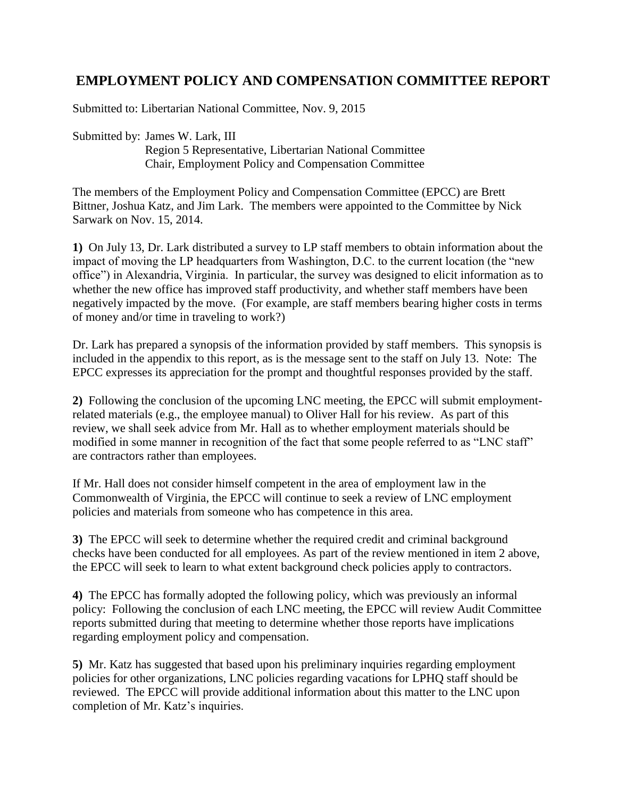# **EMPLOYMENT POLICY AND COMPENSATION COMMITTEE REPORT**

Submitted to: Libertarian National Committee, Nov. 9, 2015

Submitted by: James W. Lark, III Region 5 Representative, Libertarian National Committee Chair, Employment Policy and Compensation Committee

The members of the Employment Policy and Compensation Committee (EPCC) are Brett Bittner, Joshua Katz, and Jim Lark. The members were appointed to the Committee by Nick Sarwark on Nov. 15, 2014.

**1)** On July 13, Dr. Lark distributed a survey to LP staff members to obtain information about the impact of moving the LP headquarters from Washington, D.C. to the current location (the "new office") in Alexandria, Virginia. In particular, the survey was designed to elicit information as to whether the new office has improved staff productivity, and whether staff members have been negatively impacted by the move. (For example, are staff members bearing higher costs in terms of money and/or time in traveling to work?)

Dr. Lark has prepared a synopsis of the information provided by staff members. This synopsis is included in the appendix to this report, as is the message sent to the staff on July 13. Note: The EPCC expresses its appreciation for the prompt and thoughtful responses provided by the staff.

**2)** Following the conclusion of the upcoming LNC meeting, the EPCC will submit employmentrelated materials (e.g., the employee manual) to Oliver Hall for his review. As part of this review, we shall seek advice from Mr. Hall as to whether employment materials should be modified in some manner in recognition of the fact that some people referred to as "LNC staff" are contractors rather than employees.

If Mr. Hall does not consider himself competent in the area of employment law in the Commonwealth of Virginia, the EPCC will continue to seek a review of LNC employment policies and materials from someone who has competence in this area.

**3)** The EPCC will seek to determine whether the required credit and criminal background checks have been conducted for all employees. As part of the review mentioned in item 2 above, the EPCC will seek to learn to what extent background check policies apply to contractors.

**4)** The EPCC has formally adopted the following policy, which was previously an informal policy: Following the conclusion of each LNC meeting, the EPCC will review Audit Committee reports submitted during that meeting to determine whether those reports have implications regarding employment policy and compensation.

**5)** Mr. Katz has suggested that based upon his preliminary inquiries regarding employment policies for other organizations, LNC policies regarding vacations for LPHQ staff should be reviewed. The EPCC will provide additional information about this matter to the LNC upon completion of Mr. Katz's inquiries.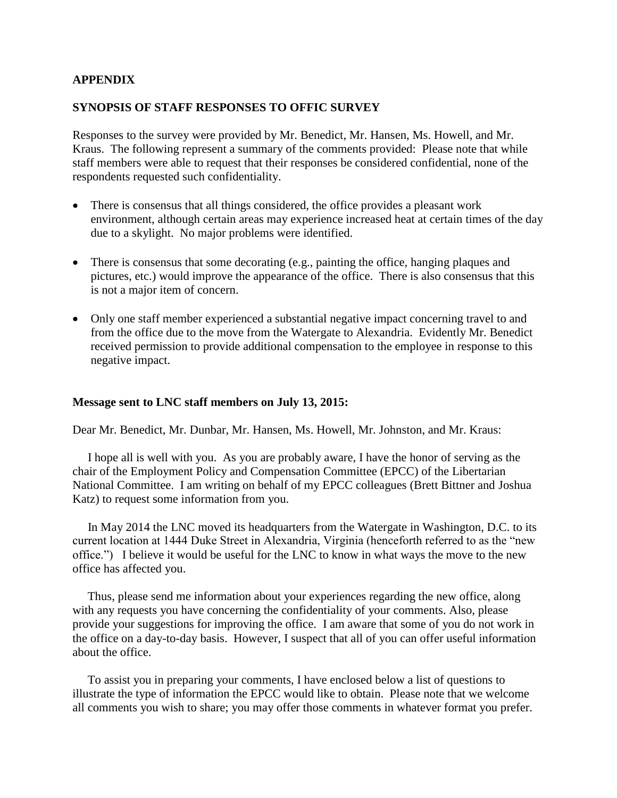### **APPENDIX**

### **SYNOPSIS OF STAFF RESPONSES TO OFFIC SURVEY**

Responses to the survey were provided by Mr. Benedict, Mr. Hansen, Ms. Howell, and Mr. Kraus. The following represent a summary of the comments provided: Please note that while staff members were able to request that their responses be considered confidential, none of the respondents requested such confidentiality.

- There is consensus that all things considered, the office provides a pleasant work environment, although certain areas may experience increased heat at certain times of the day due to a skylight. No major problems were identified.
- There is consensus that some decorating (e.g., painting the office, hanging plaques and pictures, etc.) would improve the appearance of the office. There is also consensus that this is not a major item of concern.
- Only one staff member experienced a substantial negative impact concerning travel to and from the office due to the move from the Watergate to Alexandria. Evidently Mr. Benedict received permission to provide additional compensation to the employee in response to this negative impact.

#### **Message sent to LNC staff members on July 13, 2015:**

Dear Mr. Benedict, Mr. Dunbar, Mr. Hansen, Ms. Howell, Mr. Johnston, and Mr. Kraus:

 I hope all is well with you. As you are probably aware, I have the honor of serving as the chair of the Employment Policy and Compensation Committee (EPCC) of the Libertarian National Committee. I am writing on behalf of my EPCC colleagues (Brett Bittner and Joshua Katz) to request some information from you.

 In May 2014 the LNC moved its headquarters from the Watergate in Washington, D.C. to its current location at 1444 Duke Street in Alexandria, Virginia (henceforth referred to as the "new office.") I believe it would be useful for the LNC to know in what ways the move to the new office has affected you.

 Thus, please send me information about your experiences regarding the new office, along with any requests you have concerning the confidentiality of your comments. Also, please provide your suggestions for improving the office. I am aware that some of you do not work in the office on a day-to-day basis. However, I suspect that all of you can offer useful information about the office.

 To assist you in preparing your comments, I have enclosed below a list of questions to illustrate the type of information the EPCC would like to obtain. Please note that we welcome all comments you wish to share; you may offer those comments in whatever format you prefer.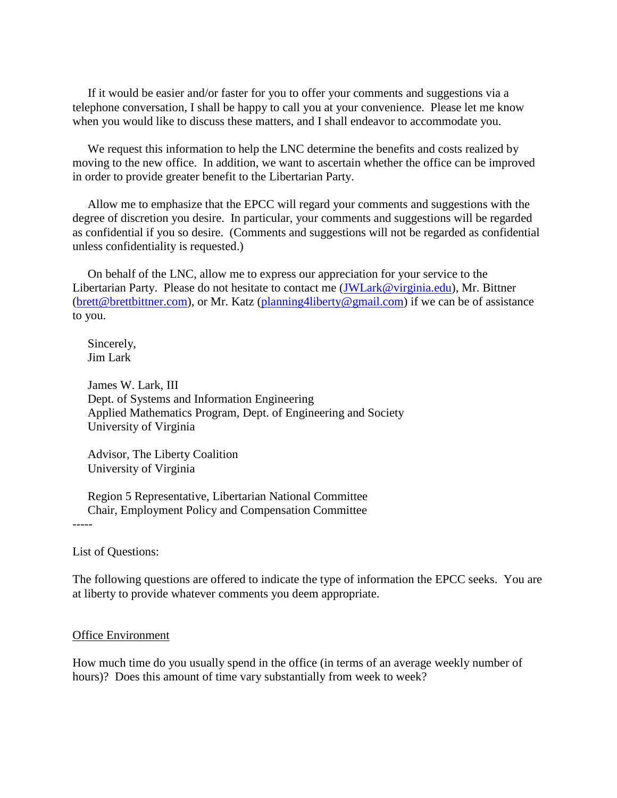If it would be easier and/or faster for you to offer your comments and suggestions via a telephone conversation, I shall be happy to call you at your convenience. Please let me know when you would like to discuss these matters, and I shall endeavor to accommodate you.

 We request this information to help the LNC determine the benefits and costs realized by moving to the new office. In addition, we want to ascertain whether the office can be improved in order to provide greater benefit to the Libertarian Party.

 Allow me to emphasize that the EPCC will regard your comments and suggestions with the degree of discretion you desire. In particular, your comments and suggestions will be regarded as confidential if you so desire. (Comments and suggestions will not be regarded as confidential unless confidentiality is requested.)

 On behalf of the LNC, allow me to express our appreciation for your service to the Libertarian Party. Please do not hesitate to contact me [\(JWLark@virginia.edu\)](mailto:JWLark@virginia.edu), Mr. Bittner [\(brett@brettbittner.com\)](mailto:brett@brettbittner.com), or Mr. Katz [\(planning4liberty@gmail.com\)](mailto:planning4liberty@gmail.com) if we can be of assistance to you.

 Sincerely, Jim Lark

 James W. Lark, III Dept. of Systems and Information Engineering Applied Mathematics Program, Dept. of Engineering and Society University of Virginia

 Advisor, The Liberty Coalition University of Virginia

 Region 5 Representative, Libertarian National Committee Chair, Employment Policy and Compensation Committee

-----

List of Questions:

The following questions are offered to indicate the type of information the EPCC seeks. You are at liberty to provide whatever comments you deem appropriate.

#### Office Environment

How much time do you usually spend in the office (in terms of an average weekly number of hours)? Does this amount of time vary substantially from week to week?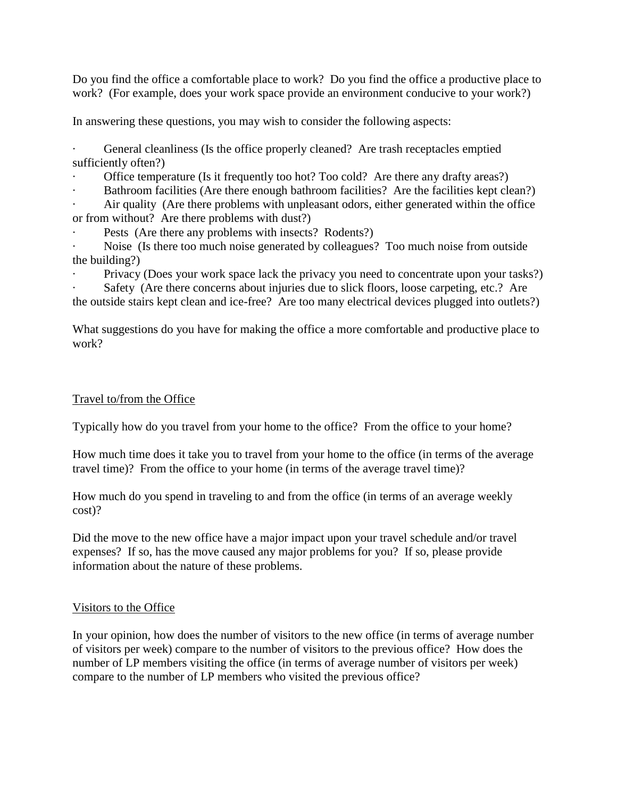Do you find the office a comfortable place to work? Do you find the office a productive place to work? (For example, does your work space provide an environment conducive to your work?)

In answering these questions, you may wish to consider the following aspects:

General cleanliness (Is the office properly cleaned? Are trash receptacles emptied sufficiently often?)

Office temperature (Is it frequently too hot? Too cold? Are there any drafty areas?)

Bathroom facilities (Are there enough bathroom facilities? Are the facilities kept clean?)

Air quality (Are there problems with unpleasant odors, either generated within the office or from without? Are there problems with dust?)

Pests (Are there any problems with insects? Rodents?)

Noise (Is there too much noise generated by colleagues? Too much noise from outside the building?)

Privacy (Does your work space lack the privacy you need to concentrate upon your tasks?)

Safety (Are there concerns about injuries due to slick floors, loose carpeting, etc.? Are

the outside stairs kept clean and ice-free? Are too many electrical devices plugged into outlets?)

What suggestions do you have for making the office a more comfortable and productive place to work?

### Travel to/from the Office

Typically how do you travel from your home to the office? From the office to your home?

How much time does it take you to travel from your home to the office (in terms of the average travel time)? From the office to your home (in terms of the average travel time)?

How much do you spend in traveling to and from the office (in terms of an average weekly cost)?

Did the move to the new office have a major impact upon your travel schedule and/or travel expenses? If so, has the move caused any major problems for you? If so, please provide information about the nature of these problems.

### Visitors to the Office

In your opinion, how does the number of visitors to the new office (in terms of average number of visitors per week) compare to the number of visitors to the previous office? How does the number of LP members visiting the office (in terms of average number of visitors per week) compare to the number of LP members who visited the previous office?